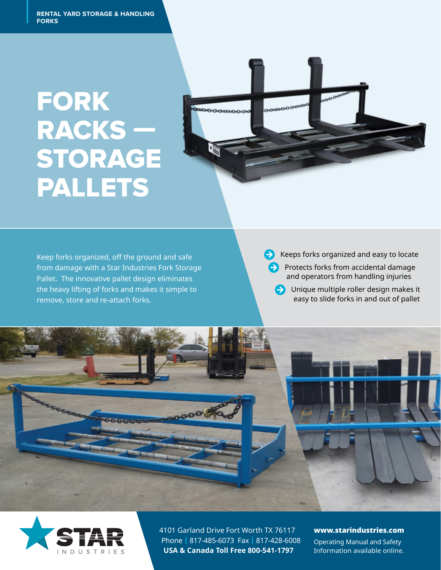**RENTAL YARD STORAGE & HANDLING**<br>FORKS **FORKS**

# RACKS<sup>-</sup> **STORA FORK** RACKS — STORAGE PALLETS



Pallet. The innovative pallet design eliminates and alle the same open Keep forks organized, off the ground and safe from damage with a Star Industries Fork Storage the heavy lifting of forks and makes it simple to remove, store and re-attach forks.

 $\leftrightarrow$  Keeps forks organized and easy to locate

**Protects forks from accidental damage** and operators from handling injuries

**O** Unique multiple roller design makes it easy to slide forks in and out of pallet





4101 Garland Drive Fort Worth TX 76117 Phone | 817-485-6073 Fax | 817-428-6008 **USA & Canada Toll Free 800-541-1797**

#### www.starindustries.com

Operating Manual and Safety Information available online.